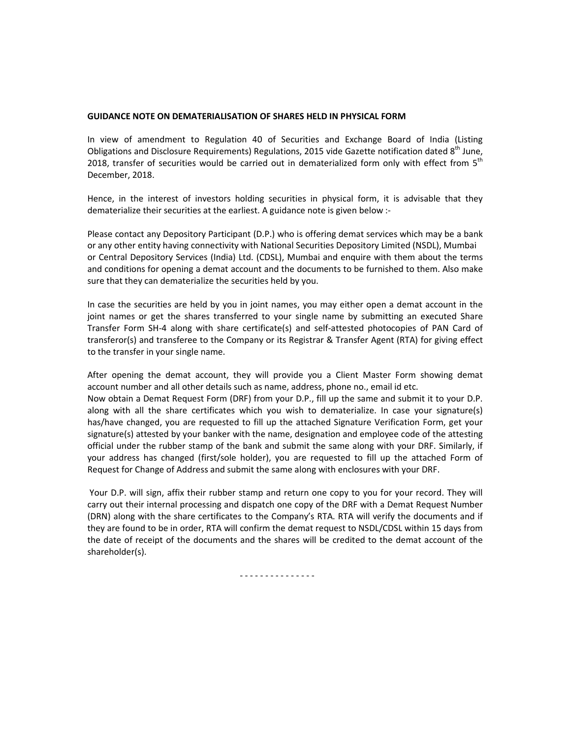## **GUIDANCE NOTE ON DEMATERIALISATION OF SHARES HELD IN PHYSICAL FORM**

In view of amendment to Regulation 40 of Securities and Exchange Board of India (Listing Obligations and Disclosure Requirements) Regulations, 2015 vide Gazette notification dated 8<sup>th</sup> June, 2018, transfer of securities would be carried out in dematerialized form only with effect from 5<sup>th</sup> December, 2018.

Hence, in the interest of investors holding securities in physical form, it is advisable that they dematerialize their securities at the earliest. A guidance note is given below :-

Please contact any Depository Participant (D.P.) who is offering demat services which may be a bank or any other entity having connectivity with National Securities Depository Limited (NSDL), Mumbai or Central Depository Services (India) Ltd. (CDSL), Mumbai and enquire with them about the terms and conditions for opening a demat account and the documents to be furnished to them. Also make sure that they can dematerialize the securities held by you.

In case the securities are held by you in joint names, you may either open a demat account in the joint names or get the shares transferred to your single name by submitting an executed Share Transfer Form SH-4 along with share certificate(s) and self-attested photocopies of PAN Card of transferor(s) and transferee to the Company or its Registrar & Transfer Agent (RTA) for giving effect to the transfer in your single name.

After opening the demat account, they will provide you a Client Master Form showing demat account number and all other details such as name, address, phone no., email id etc. Now obtain a Demat Request Form (DRF) from your D.P., fill up the same and submit it to your D.P. along with all the share certificates which you wish to dematerialize. In case your signature(s) has/have changed, you are requested to fill up the attached Signature Verification Form, get your signature(s) attested by your banker with the name, designation and employee code of the attesting official under the rubber stamp of the bank and submit the same along with your DRF. Similarly, if your address has changed (first/sole holder), you are requested to fill up the attached Form of Request for Change of Address and submit the same along with enclosures with your DRF.

Your D.P. will sign, affix their rubber stamp and return one copy to you for your record. They will carry out their internal processing and dispatch one copy of the DRF with a Demat Request Number (DRN) along with the share certificates to the Company's RTA. RTA will verify the documents and if they are found to be in order, RTA will confirm the demat request to NSDL/CDSL within 15 days from the date of receipt of the documents and the shares will be credited to the demat account of the shareholder(s).

- - - - - - - - - - - - - - -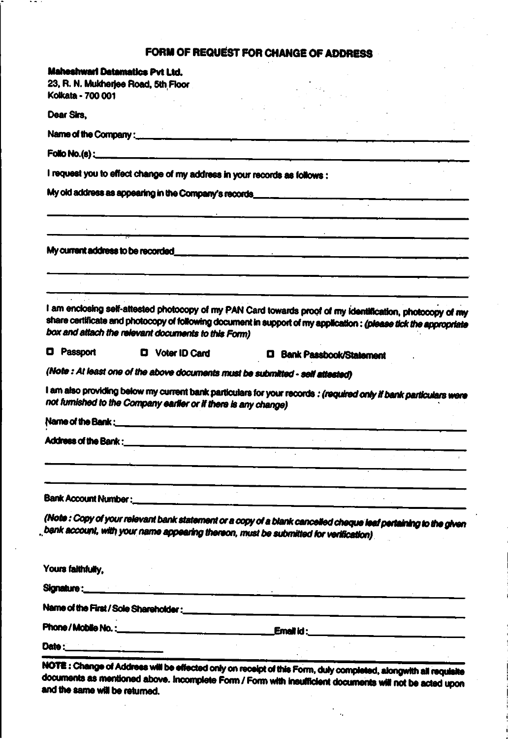## FORM OF REQUEST FOR CHANGE OF ADDRESS

| <b>Maheshwari Datamatics Pvt Ltd.</b>                                                                                                                                                                                          |                                  |  |  |
|--------------------------------------------------------------------------------------------------------------------------------------------------------------------------------------------------------------------------------|----------------------------------|--|--|
| 23, R. N. Mukherjee Road, 5th Floor<br>Kolkata - 700 001                                                                                                                                                                       |                                  |  |  |
| Dear Sirs.                                                                                                                                                                                                                     |                                  |  |  |
|                                                                                                                                                                                                                                |                                  |  |  |
|                                                                                                                                                                                                                                |                                  |  |  |
|                                                                                                                                                                                                                                |                                  |  |  |
| I request you to effect change of my address in your records as follows :                                                                                                                                                      |                                  |  |  |
|                                                                                                                                                                                                                                |                                  |  |  |
|                                                                                                                                                                                                                                |                                  |  |  |
|                                                                                                                                                                                                                                |                                  |  |  |
|                                                                                                                                                                                                                                |                                  |  |  |
|                                                                                                                                                                                                                                |                                  |  |  |
|                                                                                                                                                                                                                                |                                  |  |  |
|                                                                                                                                                                                                                                |                                  |  |  |
| I am enclosing self-attested photocopy of my PAN Card towards proof of my identification, photocopy of my<br>share certificate and photocopy of following document in support of my application : (please tick the appropriate |                                  |  |  |
| box and attach the relevant documents to this Form)                                                                                                                                                                            |                                  |  |  |
| <b>D</b> Passport<br>D Voter ID Card                                                                                                                                                                                           | <b>D</b> Bank Passbook/Statement |  |  |
| (Note : At least one of the above documents must be submitted - self attested)                                                                                                                                                 |                                  |  |  |
| I am also providing below my current bank particulars for your records : (required only if bank particulars were                                                                                                               |                                  |  |  |
| not furnished to the Company earlier or if there is any change)                                                                                                                                                                |                                  |  |  |
|                                                                                                                                                                                                                                |                                  |  |  |
|                                                                                                                                                                                                                                |                                  |  |  |
|                                                                                                                                                                                                                                |                                  |  |  |
|                                                                                                                                                                                                                                |                                  |  |  |
|                                                                                                                                                                                                                                |                                  |  |  |
|                                                                                                                                                                                                                                |                                  |  |  |
|                                                                                                                                                                                                                                |                                  |  |  |
| (Note : Copy of your relevant bank statement or a copy of a blank cancelled cheque leaf pertaining to the given                                                                                                                |                                  |  |  |
| bank account, with your name appearing therson, must be submitted for verification).                                                                                                                                           |                                  |  |  |
|                                                                                                                                                                                                                                |                                  |  |  |
| Yours faithfully,                                                                                                                                                                                                              |                                  |  |  |
|                                                                                                                                                                                                                                |                                  |  |  |
|                                                                                                                                                                                                                                |                                  |  |  |
|                                                                                                                                                                                                                                |                                  |  |  |
| Date :________________________                                                                                                                                                                                                 |                                  |  |  |

e effected only on receipt of this Form, duly completed, alongwith all requisite documents as mentioned above. Incomplete Form / Form with insufficient documents will not be acted upon and the same will be returned.